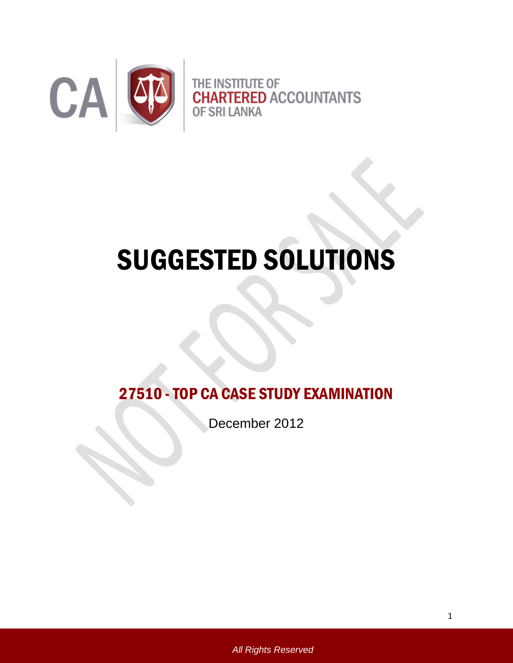

# SUGGESTED SOLUTIONS

27510 -TOP CA CASE STUDY EXAMINATION

December 2012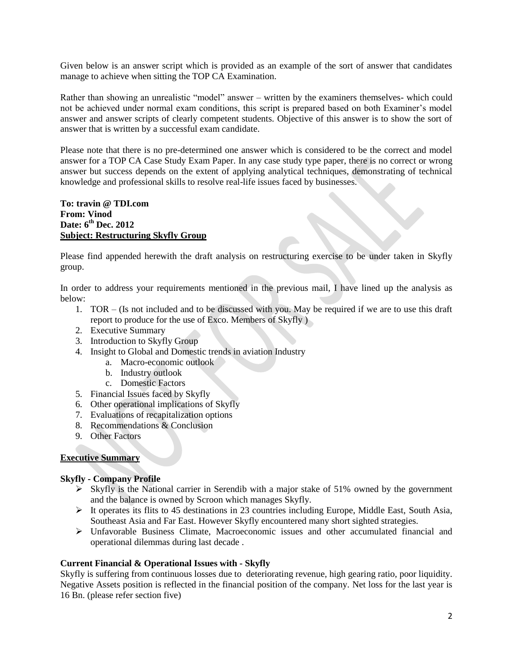Given below is an answer script which is provided as an example of the sort of answer that candidates manage to achieve when sitting the TOP CA Examination.

Rather than showing an unrealistic "model" answer – written by the examiners themselves- which could not be achieved under normal exam conditions, this script is prepared based on both Examiner's model answer and answer scripts of clearly competent students. Objective of this answer is to show the sort of answer that is written by a successful exam candidate.

Please note that there is no pre-determined one answer which is considered to be the correct and model answer for a TOP CA Case Study Exam Paper. In any case study type paper, there is no correct or wrong answer but success depends on the extent of applying analytical techniques, demonstrating of technical knowledge and professional skills to resolve real-life issues faced by businesses.

**To: travin @ TDI.com From: Vinod Date: 6th Dec. 2012 Subject: Restructuring Skyfly Group**

Please find appended herewith the draft analysis on restructuring exercise to be under taken in Skyfly group.

In order to address your requirements mentioned in the previous mail, I have lined up the analysis as below:

- 1. TOR (Is not included and to be discussed with you. May be required if we are to use this draft report to produce for the use of Exco. Members of Skyfly )
- 2. Executive Summary
- 3. Introduction to Skyfly Group
- 4. Insight to Global and Domestic trends in aviation Industry
	- a. Macro-economic outlook
	- b. Industry outlook
	- c. Domestic Factors
- 5. Financial Issues faced by Skyfly
- 6. Other operational implications of Skyfly
- 7. Evaluations of recapitalization options
- 8. Recommendations & Conclusion
- 9. Other Factors

# **Executive Summary**

#### **Skyfly - Company Profile**

- $\triangleright$  Skyfly is the National carrier in Serendib with a major stake of 51% owned by the government and the balance is owned by Scroon which manages Skyfly.
- $\triangleright$  It operates its flits to 45 destinations in 23 countries including Europe, Middle East, South Asia, Southeast Asia and Far East. However Skyfly encountered many short sighted strategies.
- $\triangleright$  Unfavorable Business Climate, Macroeconomic issues and other accumulated financial and operational dilemmas during last decade .

#### **Current Financial & Operational Issues with - Skyfly**

Skyfly is suffering from continuous losses due to deteriorating revenue, high gearing ratio, poor liquidity. Negative Assets position is reflected in the financial position of the company. Net loss for the last year is 16 Bn. (please refer section five)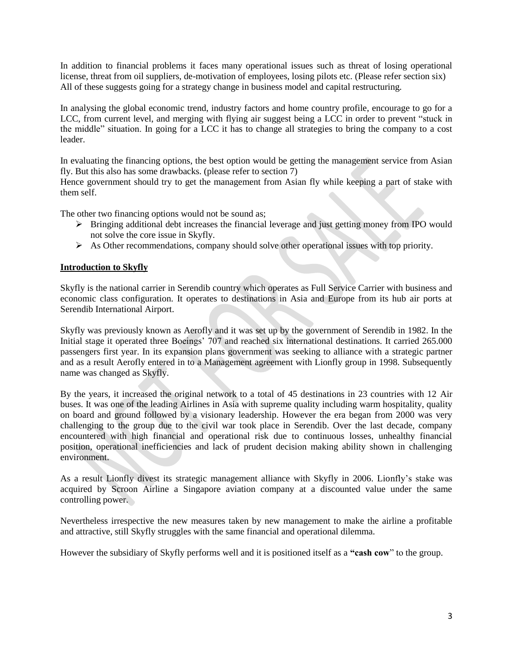In addition to financial problems it faces many operational issues such as threat of losing operational license, threat from oil suppliers, de-motivation of employees, losing pilots etc. (Please refer section six) All of these suggests going for a strategy change in business model and capital restructuring.

In analysing the global economic trend, industry factors and home country profile, encourage to go for a LCC, from current level, and merging with flying air suggest being a LCC in order to prevent "stuck in the middle" situation. In going for a LCC it has to change all strategies to bring the company to a cost leader.

In evaluating the financing options, the best option would be getting the management service from Asian fly. But this also has some drawbacks. (please refer to section 7)

Hence government should try to get the management from Asian fly while keeping a part of stake with them self.

The other two financing options would not be sound as;

- Bringing additional debt increases the financial leverage and just getting money from IPO would not solve the core issue in Skyfly.
- $\triangleright$  As Other recommendations, company should solve other operational issues with top priority.

#### **Introduction to Skyfly**

Skyfly is the national carrier in Serendib country which operates as Full Service Carrier with business and economic class configuration. It operates to destinations in Asia and Europe from its hub air ports at Serendib International Airport.

Skyfly was previously known as Aerofly and it was set up by the government of Serendib in 1982. In the Initial stage it operated three Boeings' 707 and reached six international destinations. It carried 265.000 passengers first year. In its expansion plans government was seeking to alliance with a strategic partner and as a result Aerofly entered in to a Management agreement with Lionfly group in 1998. Subsequently name was changed as Skyfly.

By the years, it increased the original network to a total of 45 destinations in 23 countries with 12 Air buses. It was one of the leading Airlines in Asia with supreme quality including warm hospitality, quality on board and ground followed by a visionary leadership. However the era began from 2000 was very challenging to the group due to the civil war took place in Serendib. Over the last decade, company encountered with high financial and operational risk due to continuous losses, unhealthy financial position, operational inefficiencies and lack of prudent decision making ability shown in challenging environment.

As a result Lionfly divest its strategic management alliance with Skyfly in 2006. Lionfly's stake was acquired by Scroon Airline a Singapore aviation company at a discounted value under the same controlling power.

Nevertheless irrespective the new measures taken by new management to make the airline a profitable and attractive, still Skyfly struggles with the same financial and operational dilemma.

However the subsidiary of Skyfly performs well and it is positioned itself as a **"cash cow**" to the group.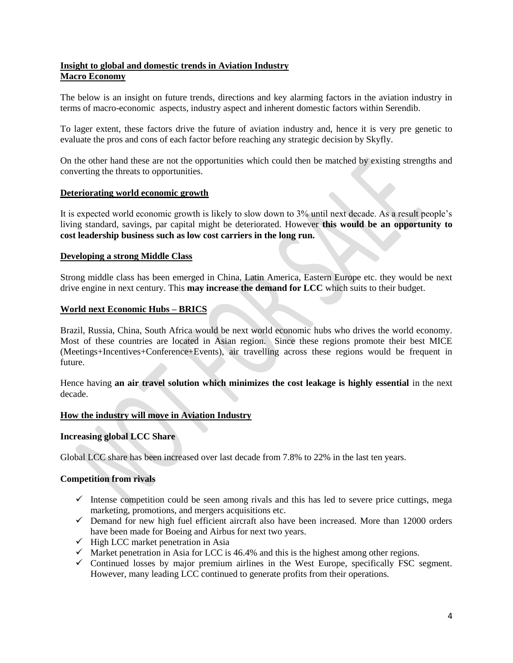## **Insight to global and domestic trends in Aviation Industry Macro Economy**

The below is an insight on future trends, directions and key alarming factors in the aviation industry in terms of macro-economic aspects, industry aspect and inherent domestic factors within Serendib.

To lager extent, these factors drive the future of aviation industry and, hence it is very pre genetic to evaluate the pros and cons of each factor before reaching any strategic decision by Skyfly.

On the other hand these are not the opportunities which could then be matched by existing strengths and converting the threats to opportunities.

#### **Deteriorating world economic growth**

It is expected world economic growth is likely to slow down to 3% until next decade. As a result people's living standard, savings, par capital might be deteriorated. However **this would be an opportunity to cost leadership business such as low cost carriers in the long run.**

#### **Developing a strong Middle Class**

Strong middle class has been emerged in China, Latin America, Eastern Europe etc. they would be next drive engine in next century. This **may increase the demand for LCC** which suits to their budget.

#### **World next Economic Hubs – BRICS**

Brazil, Russia, China, South Africa would be next world economic hubs who drives the world economy. Most of these countries are located in Asian region. Since these regions promote their best MICE (Meetings+Incentives+Conference+Events), air travelling across these regions would be frequent in future.

Hence having **an air travel solution which minimizes the cost leakage is highly essential** in the next decade.

#### **How the industry will move in Aviation Industry**

#### **Increasing global LCC Share**

Global LCC share has been increased over last decade from 7.8% to 22% in the last ten years.

#### **Competition from rivals**

- $\checkmark$  Intense competition could be seen among rivals and this has led to severe price cuttings, mega marketing, promotions, and mergers acquisitions etc.
- $\checkmark$  Demand for new high fuel efficient aircraft also have been increased. More than 12000 orders have been made for Boeing and Airbus for next two years.
- $\checkmark$  High LCC market penetration in Asia
- $\checkmark$  Market penetration in Asia for LCC is 46.4% and this is the highest among other regions.
- $\checkmark$  Continued losses by major premium airlines in the West Europe, specifically FSC segment. However, many leading LCC continued to generate profits from their operations.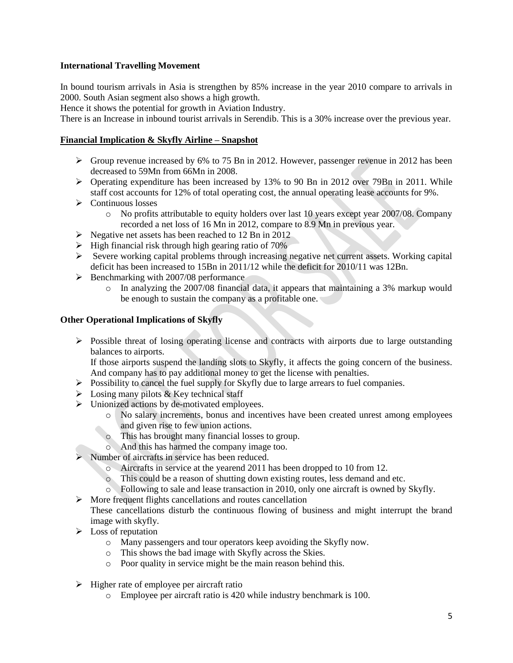## **International Travelling Movement**

In bound tourism arrivals in Asia is strengthen by 85% increase in the year 2010 compare to arrivals in 2000. South Asian segment also shows a high growth.

Hence it shows the potential for growth in Aviation Industry.

There is an Increase in inbound tourist arrivals in Serendib. This is a 30% increase over the previous year.

#### **Financial Implication & Skyfly Airline – Snapshot**

- $\triangleright$  Group revenue increased by 6% to 75 Bn in 2012. However, passenger revenue in 2012 has been decreased to 59Mn from 66Mn in 2008.
- $\triangleright$  Operating expenditure has been increased by 13% to 90 Bn in 2012 over 79Bn in 2011. While staff cost accounts for 12% of total operating cost, the annual operating lease accounts for 9%.
- $\triangleright$  Continuous losses
	- o No profits attributable to equity holders over last 10 years except year 2007/08. Company recorded a net loss of 16 Mn in 2012, compare to 8.9 Mn in previous year.
- $\triangleright$  Negative net assets has been reached to 12 Bn in 2012
- $\triangleright$  High financial risk through high gearing ratio of 70%
- $\triangleright$  Severe working capital problems through increasing negative net current assets. Working capital deficit has been increased to 15Bn in 2011/12 while the deficit for 2010/11 was 12Bn.
- $\triangleright$  Benchmarking with 2007/08 performance
	- $\circ$  In analyzing the 2007/08 financial data, it appears that maintaining a 3% markup would be enough to sustain the company as a profitable one.

## **Other Operational Implications of Skyfly**

 $\triangleright$  Possible threat of losing operating license and contracts with airports due to large outstanding balances to airports.

If those airports suspend the landing slots to Skyfly, it affects the going concern of the business. And company has to pay additional money to get the license with penalties.

- $\triangleright$  Possibility to cancel the fuel supply for Skyfly due to large arrears to fuel companies.
- $\triangleright$  Losing many pilots & Key technical staff
- $\triangleright$  Unionized actions by de-motivated employees.
	- o No salary increments, bonus and incentives have been created unrest among employees and given rise to few union actions.
	- o This has brought many financial losses to group.
		- o And this has harmed the company image too.
- $\triangleright$  Number of aircrafts in service has been reduced.
	- o Aircrafts in service at the yearend 2011 has been dropped to 10 from 12.
	- o This could be a reason of shutting down existing routes, less demand and etc.
	- o Following to sale and lease transaction in 2010, only one aircraft is owned by Skyfly.
- $\triangleright$  More frequent flights cancellations and routes cancellation

These cancellations disturb the continuous flowing of business and might interrupt the brand image with skyfly.

- $\triangleright$  Loss of reputation
	- o Many passengers and tour operators keep avoiding the Skyfly now.
	- o This shows the bad image with Skyfly across the Skies.
	- o Poor quality in service might be the main reason behind this.
- $\triangleright$  Higher rate of employee per aircraft ratio
	- o Employee per aircraft ratio is 420 while industry benchmark is 100.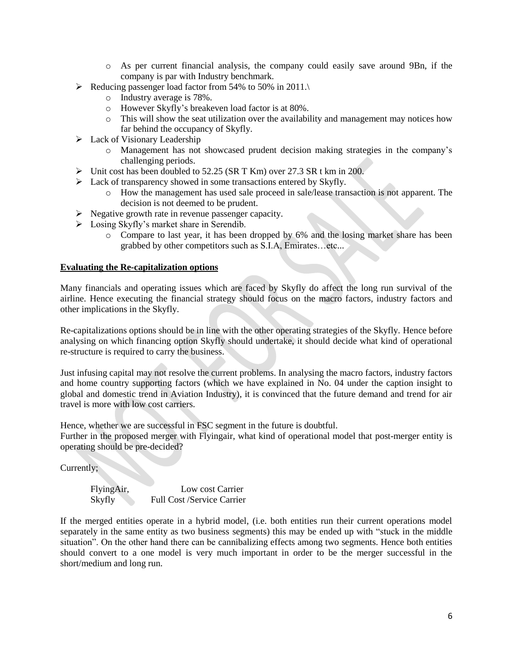- o As per current financial analysis, the company could easily save around 9Bn, if the company is par with Industry benchmark.
- Reducing passenger load factor from 54% to 50% in 2011.
	- o Industry average is 78%.
	- o However Skyfly's breakeven load factor is at 80%.
	- $\circ$  This will show the seat utilization over the availability and management may notices how far behind the occupancy of Skyfly.
- $\blacktriangleright$  Lack of Visionary Leadership
	- o Management has not showcased prudent decision making strategies in the company's challenging periods.
- $\triangleright$  Unit cost has been doubled to 52.25 (SR T Km) over 27.3 SR t km in 200.
- $\triangleright$  Lack of transparency showed in some transactions entered by Skyfly.
	- o How the management has used sale proceed in sale/lease transaction is not apparent. The decision is not deemed to be prudent.
- $\triangleright$  Negative growth rate in revenue passenger capacity.
- $\triangleright$  Losing Skyfly's market share in Serendib.
	- o Compare to last year, it has been dropped by 6% and the losing market share has been grabbed by other competitors such as S.I.A, Emirates…etc...

## **Evaluating the Re-capitalization options**

Many financials and operating issues which are faced by Skyfly do affect the long run survival of the airline. Hence executing the financial strategy should focus on the macro factors, industry factors and other implications in the Skyfly.

Re-capitalizations options should be in line with the other operating strategies of the Skyfly. Hence before analysing on which financing option Skyfly should undertake, it should decide what kind of operational re-structure is required to carry the business.

Just infusing capital may not resolve the current problems. In analysing the macro factors, industry factors and home country supporting factors (which we have explained in No. 04 under the caption insight to global and domestic trend in Aviation Industry), it is convinced that the future demand and trend for air travel is more with low cost carriers.

Hence, whether we are successful in FSC segment in the future is doubtful.

Further in the proposed merger with Flyingair, what kind of operational model that post-merger entity is operating should be pre-decided?

Currently;

FlyingAir, Low cost Carrier Skyfly Full Cost /Service Carrier

If the merged entities operate in a hybrid model, (i.e. both entities run their current operations model separately in the same entity as two business segments) this may be ended up with "stuck in the middle situation". On the other hand there can be cannibalizing effects among two segments. Hence both entities should convert to a one model is very much important in order to be the merger successful in the short/medium and long run.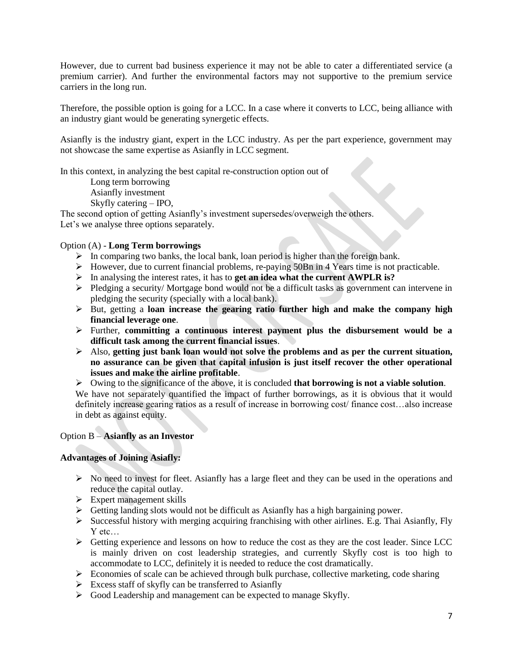However, due to current bad business experience it may not be able to cater a differentiated service (a premium carrier). And further the environmental factors may not supportive to the premium service carriers in the long run.

Therefore, the possible option is going for a LCC. In a case where it converts to LCC, being alliance with an industry giant would be generating synergetic effects.

Asianfly is the industry giant, expert in the LCC industry. As per the part experience, government may not showcase the same expertise as Asianfly in LCC segment.

In this context, in analyzing the best capital re-construction option out of

Long term borrowing Asianfly investment

Skyfly catering – IPO,

The second option of getting Asianfly's investment supersedes/overweigh the others. Let's we analyse three options separately.

# Option (A) - **Long Term borrowings**

- $\triangleright$  In comparing two banks, the local bank, loan period is higher than the foreign bank.
- $\triangleright$  However, due to current financial problems, re-paying 50Bn in 4 Years time is not practicable.
- In analysing the interest rates, it has to **get an idea what the current AWPLR is?**
- Pledging a security/ Mortgage bond would not be a difficult tasks as government can intervene in pledging the security (specially with a local bank).
- But, getting a **loan increase the gearing ratio further high and make the company high financial leverage one**.
- Further, **committing a continuous interest payment plus the disbursement would be a difficult task among the current financial issues**.
- Also, **getting just bank loan would not solve the problems and as per the current situation, no assurance can be given that capital infusion is just itself recover the other operational issues and make the airline profitable**.
- Owing to the significance of the above, it is concluded **that borrowing is not a viable solution**.

We have not separately quantified the impact of further borrowings, as it is obvious that it would definitely increase gearing ratios as a result of increase in borrowing cost/ finance cost…also increase in debt as against equity.

#### Option B – **Asianfly as an Investor**

## **Advantages of Joining Asiafly:**

- $\triangleright$  No need to invest for fleet. Asianfly has a large fleet and they can be used in the operations and reduce the capital outlay.
- $\triangleright$  Expert management skills
- $\triangleright$  Getting landing slots would not be difficult as Asianfly has a high bargaining power.
- $\triangleright$  Successful history with merging acquiring franchising with other airlines. E.g. Thai Asianfly, Fly Y etc…
- $\triangleright$  Getting experience and lessons on how to reduce the cost as they are the cost leader. Since LCC is mainly driven on cost leadership strategies, and currently Skyfly cost is too high to accommodate to LCC, definitely it is needed to reduce the cost dramatically.
- $\triangleright$  Economies of scale can be achieved through bulk purchase, collective marketing, code sharing
- $\triangleright$  Excess staff of skyfly can be transferred to Asianfly
- $\triangleright$  Good Leadership and management can be expected to manage Skyfly.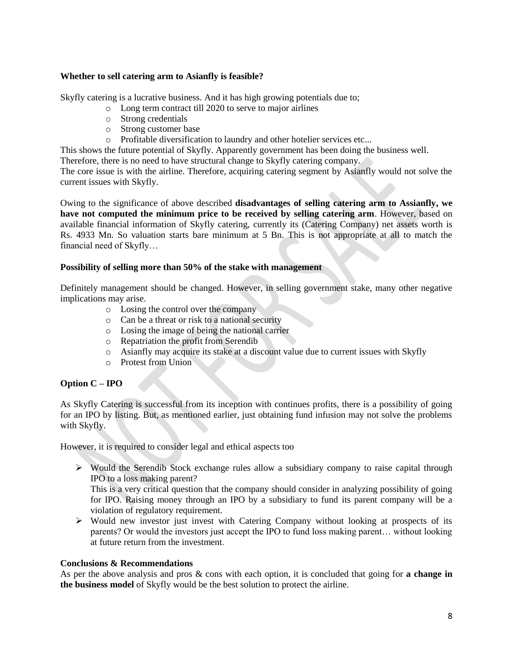## **Whether to sell catering arm to Asianfly is feasible?**

Skyfly catering is a lucrative business. And it has high growing potentials due to;

- o Long term contract till 2020 to serve to major airlines
- o Strong credentials
- o Strong customer base
- o Profitable diversification to laundry and other hotelier services etc...

This shows the future potential of Skyfly. Apparently government has been doing the business well.

Therefore, there is no need to have structural change to Skyfly catering company.

The core issue is with the airline. Therefore, acquiring catering segment by Asianfly would not solve the current issues with Skyfly.

Owing to the significance of above described **disadvantages of selling catering arm to Assianfly, we have not computed the minimum price to be received by selling catering arm**. However, based on available financial information of Skyfly catering, currently its (Catering Company) net assets worth is Rs. 4933 Mn. So valuation starts bare minimum at 5 Bn. This is not appropriate at all to match the financial need of Skyfly…

#### **Possibility of selling more than 50% of the stake with management**

Definitely management should be changed. However, in selling government stake, many other negative implications may arise.

- o Losing the control over the company
- o Can be a threat or risk to a national security
- o Losing the image of being the national carrier
- o Repatriation the profit from Serendib
- o Asianfly may acquire its stake at a discount value due to current issues with Skyfly
- o Protest from Union

#### **Option C – IPO**

As Skyfly Catering is successful from its inception with continues profits, there is a possibility of going for an IPO by listing. But, as mentioned earlier, just obtaining fund infusion may not solve the problems with Skyfly.

However, it is required to consider legal and ethical aspects too

 $\triangleright$  Would the Serendib Stock exchange rules allow a subsidiary company to raise capital through IPO to a loss making parent?

This is a very critical question that the company should consider in analyzing possibility of going for IPO. Raising money through an IPO by a subsidiary to fund its parent company will be a violation of regulatory requirement.

 $\triangleright$  Would new investor just invest with Catering Company without looking at prospects of its parents? Or would the investors just accept the IPO to fund loss making parent… without looking at future return from the investment.

#### **Conclusions & Recommendations**

As per the above analysis and pros & cons with each option, it is concluded that going for **a change in the business model** of Skyfly would be the best solution to protect the airline.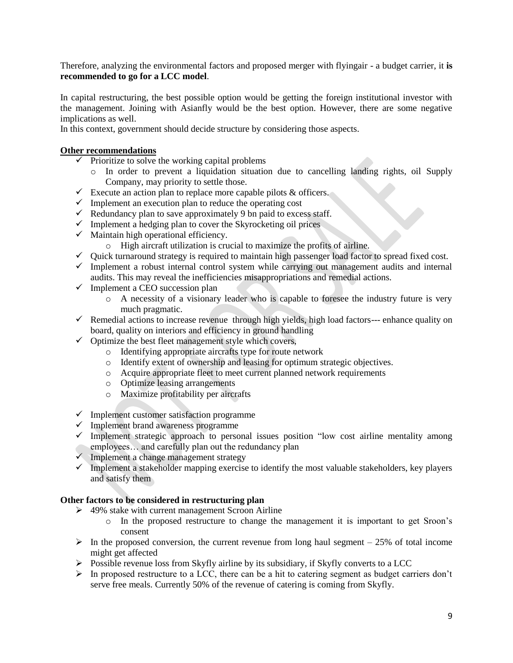Therefore, analyzing the environmental factors and proposed merger with flyingair - a budget carrier, it **is recommended to go for a LCC model**.

In capital restructuring, the best possible option would be getting the foreign institutional investor with the management. Joining with Asianfly would be the best option. However, there are some negative implications as well.

In this context, government should decide structure by considering those aspects.

## **Other recommendations**

- $\checkmark$  Prioritize to solve the working capital problems
	- o In order to prevent a liquidation situation due to cancelling landing rights, oil Supply Company, may priority to settle those.
- $\checkmark$  Execute an action plan to replace more capable pilots & officers.
- $\checkmark$  Implement an execution plan to reduce the operating cost
- $\checkmark$  Redundancy plan to save approximately 9 bn paid to excess staff.
- $\checkmark$  Implement a hedging plan to cover the Skyrocketing oil prices
- $\checkmark$  Maintain high operational efficiency.
	- o High aircraft utilization is crucial to maximize the profits of airline.
- $\checkmark$  Quick turnaround strategy is required to maintain high passenger load factor to spread fixed cost.
- $\checkmark$  Implement a robust internal control system while carrying out management audits and internal audits. This may reveal the inefficiencies misappropriations and remedial actions.
- $\checkmark$  Implement a CEO succession plan
	- o A necessity of a visionary leader who is capable to foresee the industry future is very much pragmatic.
- $\checkmark$  Remedial actions to increase revenue through high yields, high load factors--- enhance quality on board, quality on interiors and efficiency in ground handling
- $\checkmark$  Optimize the best fleet management style which covers,
	- o Identifying appropriate aircrafts type for route network
	- o Identify extent of ownership and leasing for optimum strategic objectives.
	- o Acquire appropriate fleet to meet current planned network requirements
	- o Optimize leasing arrangements
	- o Maximize profitability per aircrafts
- $\checkmark$  Implement customer satisfaction programme
- $\checkmark$  Implement brand awareness programme
- $\checkmark$  Implement strategic approach to personal issues position "low cost airline mentality among employees... and carefully plan out the redundancy plan
- $\checkmark$  Implement a change management strategy
- $\checkmark$  Implement a stakeholder mapping exercise to identify the most valuable stakeholders, key players and satisfy them

# **Other factors to be considered in restructuring plan**

- ▶ 49% stake with current management Scroon Airline
	- o In the proposed restructure to change the management it is important to get Sroon's consent
- $\triangleright$  In the proposed conversion, the current revenue from long haul segment 25% of total income might get affected
- $\triangleright$  Possible revenue loss from Skyfly airline by its subsidiary, if Skyfly converts to a LCC
- $\triangleright$  In proposed restructure to a LCC, there can be a hit to catering segment as budget carriers don't serve free meals. Currently 50% of the revenue of catering is coming from Skyfly.